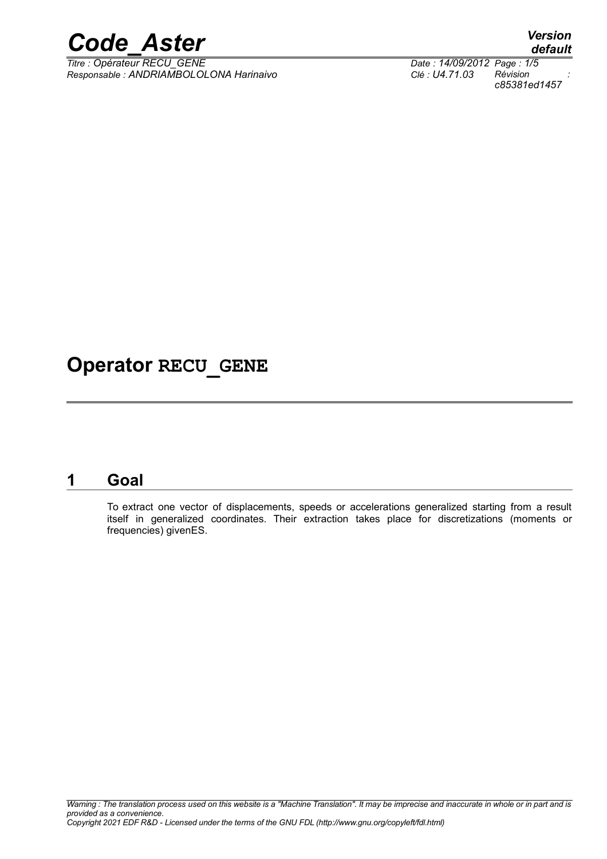

*Responsable : ANDRIAMBOLOLONA Harinaivo Clé : U4.71.03 Révision :*

# **Operator RECU\_GENE**

## **1 Goal**

To extract one vector of displacements, speeds or accelerations generalized starting from a result itself in generalized coordinates. Their extraction takes place for discretizations (moments or frequencies) givenES.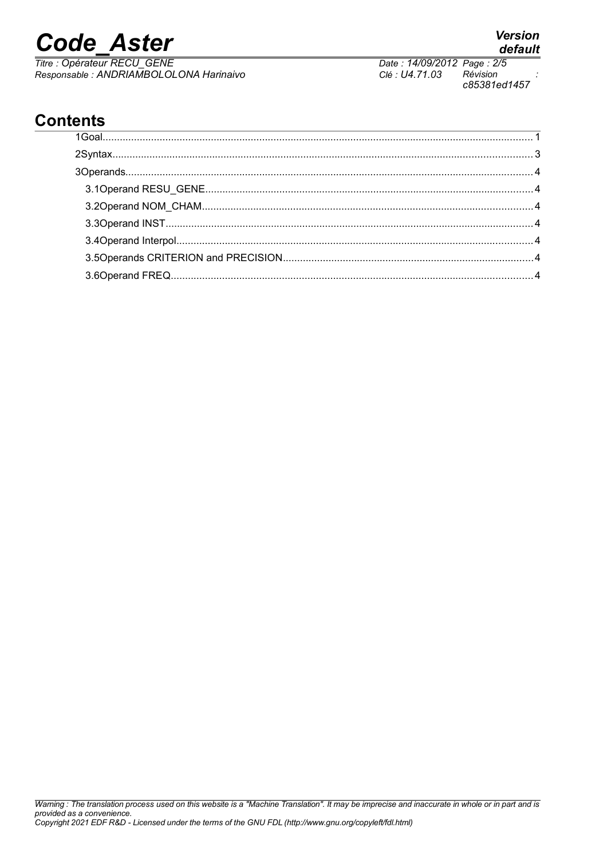# **Code Aster**

Titre : Opérateur RECU GENE Responsable : ANDRIAMBOLOLONA Harinaivo Date: 14/09/2012 Page: 2/5 Clé : U4.71.03 Révision c85381ed1457

# **Contents**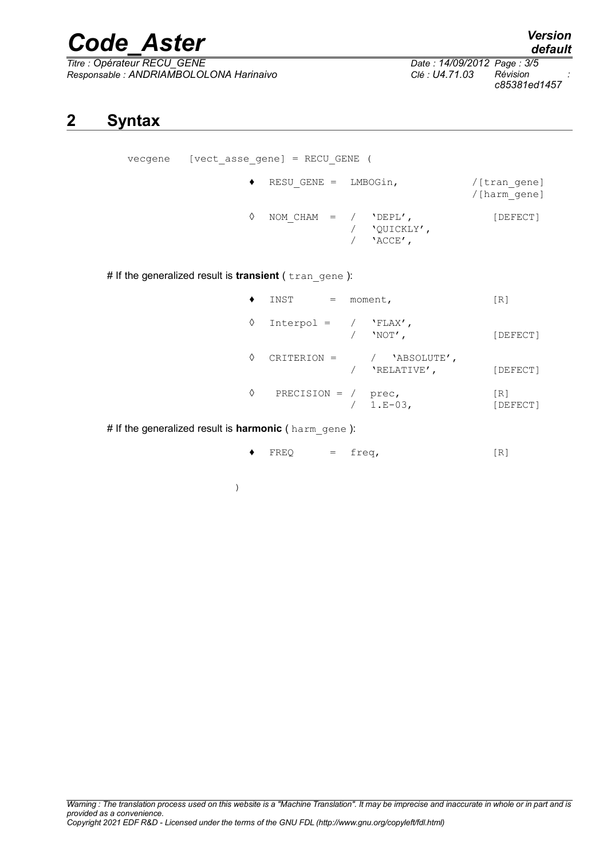# *Code\_Aster Version*

*Responsable : ANDRIAMBOLOLONA Harinaivo Clé : U4.71.03 Révision :*

*Thate : 14/09/2012 Page : 3/5*<br>*Clé : U4.71.03 Révision c85381ed1457*

# **2 Syntax**

| [vect asse gene] = RECU GENE (<br>vecqene |           |                        |                              |                              |  |  |
|-------------------------------------------|-----------|------------------------|------------------------------|------------------------------|--|--|
|                                           | $\bullet$ | RESU GENE = LMBOGin,   |                              | /[tran gene]<br>/[harm gene] |  |  |
|                                           | ♦         | NOM CHAM = $/$ 'DEPL', | 'OUICKLY',<br>$'$ ACCE $'$ , | [DEFECT]                     |  |  |

# If the generalized result is **transient** ( tran gene ):

|   | INST<br>$=$            | moment,                      | [R]             |
|---|------------------------|------------------------------|-----------------|
| ♦ | $Interpol = / 'FLAX',$ | 'NOT',                       | [DEFECT]        |
| ♦ | CRITERION =            | / 'ABSOLUTE',<br>'RELATIVE', | [DEFECT]        |
| ♦ | PRECISION = $/$ prec,  | $/ 1.E-03,$                  | [R]<br>[DEFECT] |

# If the generalized result is harmonic (harm gene ):

|  |  | $\blacklozenge$ FREQ |  | $=$ freq, | [R] |  |
|--|--|----------------------|--|-----------|-----|--|
|--|--|----------------------|--|-----------|-----|--|

)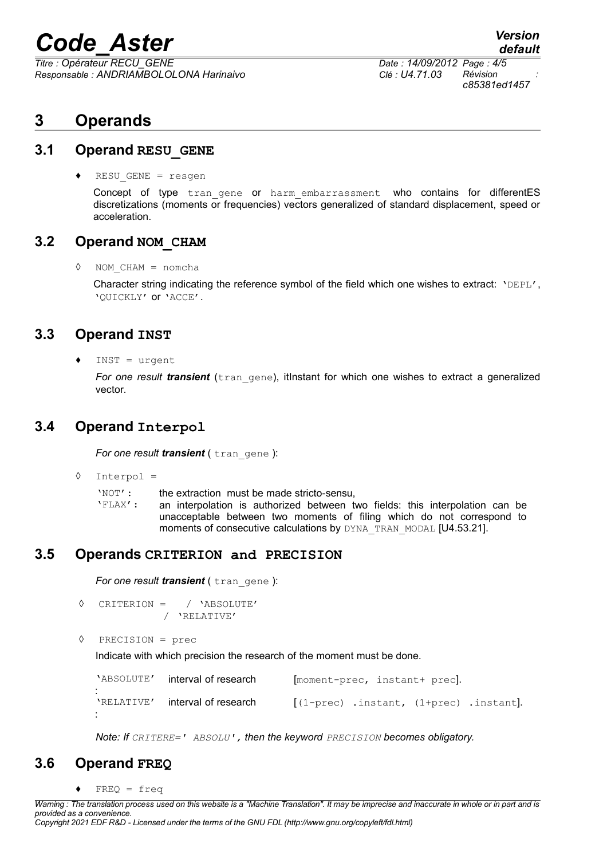# *Code\_Aster Version*

*Titre : Opérateur RECU\_GENE Date : 14/09/2012 Page : 4/5 Responsable : ANDRIAMBOLOLONA Harinaivo Clé : U4.71.03 Révision :*

*c85381ed1457*

*default*

# **3 Operands**

#### **3.1 Operand RESU\_GENE**

♦ RESU\_GENE = resgen

Concept of type tran gene or harm embarrassment who contains for differentES discretizations (moments or frequencies) vectors generalized of standard displacement, speed or acceleration.

#### **3.2 Operand NOM\_CHAM**

◊ NOM\_CHAM = nomcha

Character string indicating the reference symbol of the field which one wishes to extract: 'DEPL', 'QUICKLY' or 'ACCE'.

#### **3.3 Operand INST**

 $INST = urgent$ 

*For one result transient* (tran gene), itlnstant for which one wishes to extract a generalized vector.

### **3.4 Operand Interpol**

*For one result transient* ( tran gene ):

- ◊ Interpol =
	- 'NOT': the extraction must be made stricto-sensu,

'FLAX': an interpolation is authorized between two fields: this interpolation can be unacceptable between two moments of filing which do not correspond to moments of consecutive calculations by DYNA\_TRAN\_MODAL [U4.53.21].

#### **3.5 Operands CRITERION and PRECISION**

*For one result transient* ( tran\_gene ):

- ◊ CRITERION = / 'ABSOLUTE' / 'RELATIVE'
- ◊ PRECISION = prec

Indicate with which precision the research of the moment must be done.

| 'ABSOLUTE' | interval of research | [moment-prec, instant+ prec]. |                                            |  |  |
|------------|----------------------|-------------------------------|--------------------------------------------|--|--|
| 'RELATIVE' | interval of research |                               | $[(1-prec)$ .instant, $(1+prec)$ .instant. |  |  |

*Note: If CRITERE=' ABSOLU', then the keyword PRECISION becomes obligatory.*

### **3.6 Operand FREQ**

 $FREO = freq$